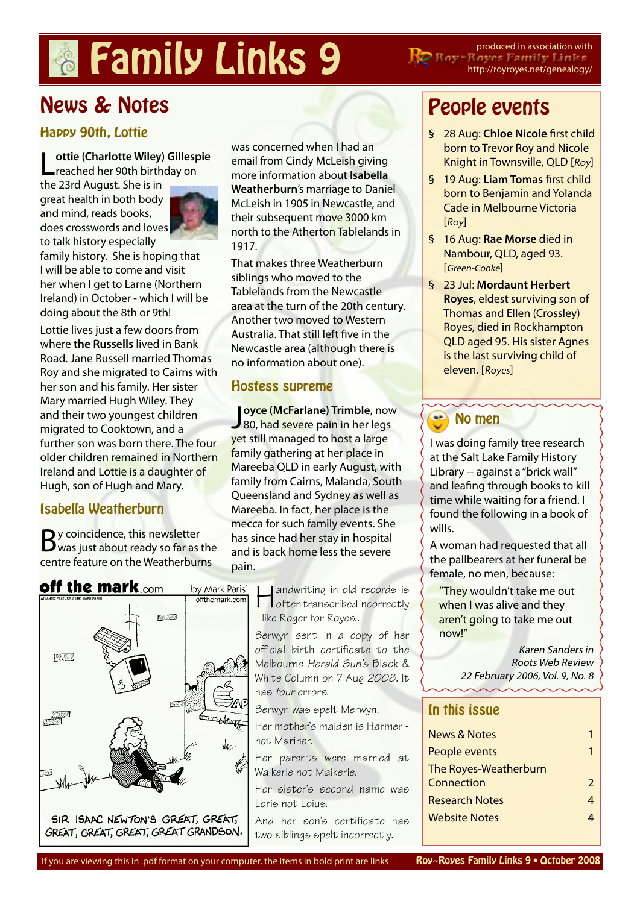# **Pamily Links 9** PRE FINE SPOND Produced in association with

http://royroyes.net/genealogy/

# News & Notes

### Happy 90th, Lottie

[L](http://royroyes.net/genealogy/getperson.php?personID=I3906&tree=rr_tree)**[ottie \(Charlotte Wiley\) Gillespie](http://royroyes.net/genealogy/getperson.php?personID=I3906&tree=rr_tree)** reached her 90th birthday on

the 23rd August. She is in great health in both body and mind, reads books, does crosswords and loves to talk history especially



family history. She is hoping that I will be able to come and visit her when I get to Larne (Northern Ireland) in October - which I will be doing about the 8th or 9th!

Lottie lives just a few doors from where **[the Russells](http://royroyes.net/genealogy/showmedia.php?mediaID=777)** lived in Bank Road. Jane Russell married Thomas Roy and she migrated to Cairns with her son and his family. Her sister Mary married Hugh Wiley. They and their two youngest children migrated to Cooktown, and a further son was born there. The four older children remained in Northern Ireland and Lottie is a daughter of Hugh, son of Hugh and Mary.

## Isabella Weatherburn

By coincidence, this newsletter<br>Bwas just about ready so far as the centre feature on the Weatherburns

was concerned when I had an email from Cindy McLeish giving more information about **[Isabella](http://royroyes.net/genealogy/getperson.php?personID=I1293&tree=rr_tree)  [Weatherburn](http://royroyes.net/genealogy/getperson.php?personID=I1293&tree=rr_tree)**'s marriage to Daniel McLeish in 1905 in Newcastle, and their subsequent move 3000 km north to the Atherton Tablelands in 1917.

That makes three Weatherburn siblings who moved to the Tablelands from the Newcastle area at the turn of the 20th century. Another two moved to Western Australia. That still left five in the Newcastle area (although there is no information about one).

#### Hostess supreme

[J](http://royroyes.net/genealogy/getperson.php?personID=I662&tree=rr_tree)oyce (McFarlane) Trimble, nov<br>80, had severe pain in her legs **[oyce \(McFarlane\) Trimble](http://royroyes.net/genealogy/getperson.php?personID=I662&tree=rr_tree)**, now yet still managed to host a large family gathering at her place in Mareeba QLD in early August, with family from Cairns, Malanda, South Queensland and Sydney as well as Mareeba. In fact, her place is the mecca for such family events. She has since had her stay in hospital and is back home less the severe pain.



**H** andwriting in old records is<br>often transcribed incorrectly - like Roger for Royes..

Berwyn sent in a copy of her official birth certificate to the Melbourne Herald Sun's Black & White Column on 7 Aug 2008. It has four errors.

Berwyn was spelt Merwyn.

Her mother's maiden is Harmer not Mariner.

Her parents were married at Waikerie not Maikerie.

Her sister's second name was Loris not Loius.

And her son's certificate has two siblings spelt incorrectly.

## People events

- § 28 Aug: **[Chloe Nicole](http://royroyes.net/genealogy/getperson.php?personID=I5817&tree=rr_tree)** first child born to Trevor Roy and Nicole Knight in Townsville, QLD [Roy]
- § 19 Aug: **[Liam Tomas](http://royroyes.net/genealogy/getperson.php?personID=I5823&tree=rr_tree)** first child born to Benjamin and Yolanda Cade in Melbourne Victoria [Roy]
- § 16 Aug: **[Rae Morse](http://royroyes.net/genealogy/getperson.php?personID=I2643&tree=rr_tree)** died in Nambour, QLD, aged 93. [Green-Cooke]
- § 23 Jul: **[Mordaunt Herbert](http://royroyes.net/genealogy/getperson.php?personID=I1006&tree=rr_tree)  [Royes](http://royroyes.net/genealogy/getperson.php?personID=I1006&tree=rr_tree)**, eldest surviving son of Thomas and Ellen (Crossley) Royes, died in Rockhampton QLD aged 95. His sister Agnes is the last surviving child of eleven. [Royes]

**1**

## No men

I was doing family tree research at the Salt Lake Family History Library -- against a "brick wall" and leafing through books to kill time while waiting for a friend. I found the following in a book of wills.

A woman had requested that all the pallbearers at her funeral be female, no men, because:

"They wouldn't take me out when I was alive and they aren't going to take me out now!"

> Karen Sanders in Roots Web Review 22 February 2006, Vol. 9, No. 8

#### In this issue

| <b>News &amp; Notes</b> |               |
|-------------------------|---------------|
| People events           |               |
| The Royes-Weatherburn   |               |
| Connection              | $\mathcal{P}$ |
| <b>Research Notes</b>   | 4             |
| <b>Website Notes</b>    |               |
|                         |               |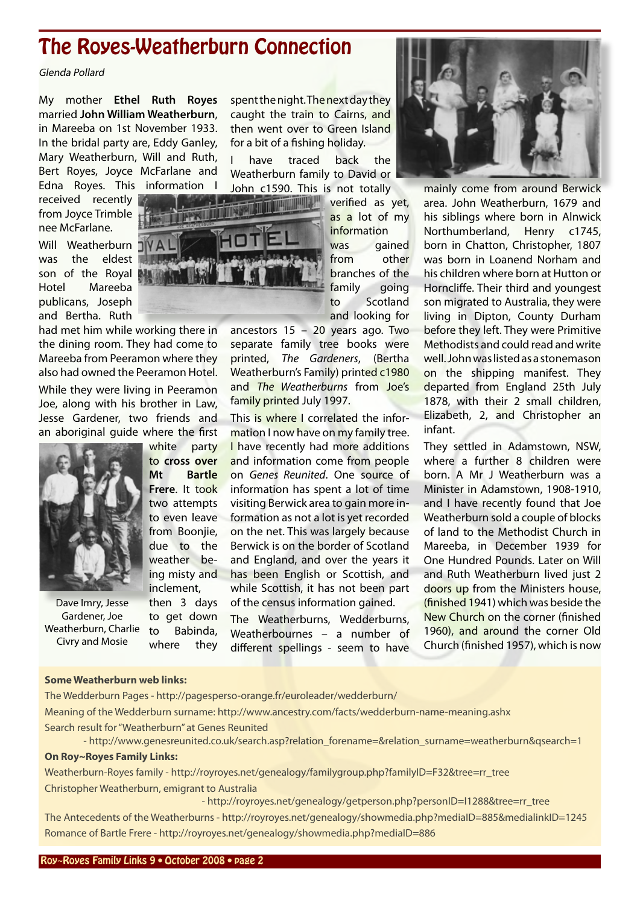## <span id="page-1-0"></span>The Royes-Weatherburn Connection

Glenda Pollard

My mother **[Ethel Ruth Royes](http://royroyes.net/genealogy/familygroup.php?familyID=F30&tree=rr_tree)** married **[John William Weatherburn](http://royroyes.net/genealogy/familygroup.php?familyID=F30&tree=rr_tree)**, in Mareeba on 1st November 1933. In the bridal party are, Eddy Ganley, Mary Weatherburn, Will and Ruth, Bert Royes, Joyce McFarlane and Edna Royes. This information I

received recently from Joyce Trimble nee McFarlane.

Will Weatherburn was the eldest son of the Royal Hotel Mareeba publicans, Joseph and Bertha. Ruth

had met him while working there in the dining room. They had come to Mareeba from Peeramon where they also had owned the Peeramon Hotel.

While they were living in Peeramon Joe, along with his brother in Law, Jesse Gardener, two friends and an aboriginal guide where the first

Dave Imry, Jesse Gardener, Joe Weatherburn, Charlie Civry and Mosie

white party to **cross over Mt Bartle Frere**. It took two attempts to even leave from Boonije, due to the weather being misty and inclement, then 3 days to get down

to Babinda, where they spent the night. The next day they caught the train to Cairns, and then went over to Green Island for a bit of a fishing holiday.

I have traced back the Weatherburn family to David or John c1590. This is not totally

> verified as yet, as a lot of my

information was gained from other branches of the family going to Scotland and looking for

ancestors 15 – 20 years ago. Two separate family tree books were printed, *The Gardeners*, (Bertha Weatherburn's Family) printed c1980 and *The Weatherburns* from Joe's family printed July 1997.

This is where I correlated the information I now have on my family tree. **I** have recently had more additions and information come from people on *Genes Reunited*. One source of information has spent a lot of time visiting Berwick area to gain more information as not a lot is yet recorded on the net. This was largely because Berwick is on the border of Scotland and England, and over the years it has been English or Scottish, and while Scottish, it has not been part of the census information gained.

The Weatherburns, Wedderburns, Weatherbournes – a number of different spellings - seem to have



mainly come from around Berwick area. John Weatherburn, 1679 and his siblings where born in Alnwick Northumberland, Henry c1745, born in Chatton, Christopher, 1807 was born in Loanend Norham and his children where born at Hutton or Horncliffe. Their third and youngest son migrated to Australia, they were living in Dipton, County Durham before they left. They were Primitive Methodists and could read and write well. John was listed as a stonemason on the shipping manifest. They departed from England 25th July 1878, with their 2 small children, Elizabeth, 2, and Christopher an infant.

They settled in Adamstown, NSW, where a further 8 children were born. A Mr J Weatherburn was a Minister in Adamstown, 1908-1910, and I have recently found that Joe Weatherburn sold a couple of blocks of land to the Methodist Church in Mareeba, in December 1939 for One Hundred Pounds. Later on Will and Ruth Weatherburn lived just 2 doors up from the Ministers house, (finished 1941) which was beside the New Church on the corner (finished 1960), and around the corner Old Church (finished 1957), which is now

#### **Some Weatherburn web links:**

[The Wedderburn Pages](http://pagesperso-orange.fr/euroleader/wedderburn/) - http://pagesperso-orange.fr/euroleader/wedderburn/ Meaning of the [Wedderburn surname](http://www.ancestry.com/facts/wedderburn-name-meaning.ashx): http://www.ancestry.com/facts/wedderburn-name-meaning.ashx Search result for ["Weatherburn" at Genes Reunited](http://www.genesreunited.co.uk/search.asp?relation_forename=&relation_surname=weatherburn&qsearch=1)  - http://www.genesreunited.co.uk/search.asp?relation\_forename=&relation\_surname=weatherburn&qsearch=1

**On Roy~Royes Family Links:**

[Weatherburn-Royes family](http://royroyes.net/genealogy/familygroup.php?familyID=F32&tree=rr_tree) - http://royroyes.net/genealogy/familygroup.php?familyID=F32&tree=rr\_tree [Christopher Weatherburn,](http://royroyes.net/genealogy/getperson.php?personID=I1288&tree=rr_tree) emigrant to Australia

 - http://royroyes.net/genealogy/getperson.php?personID=I1288&tree=rr\_tree [The Antecedents of the Weatherburns](http://royroyes.net/genealogy/showmedia.php?mediaID=885&medialinkID=1245) - http://royroyes.net/genealogy/showmedia.php?mediaID=885&medialinkID=1245 [Romance of Bartle Frere](http://royroyes.net/genealogy/showmedia.php?mediaID=886) - http://royroyes.net/genealogy/showmedia.php?mediaID=886

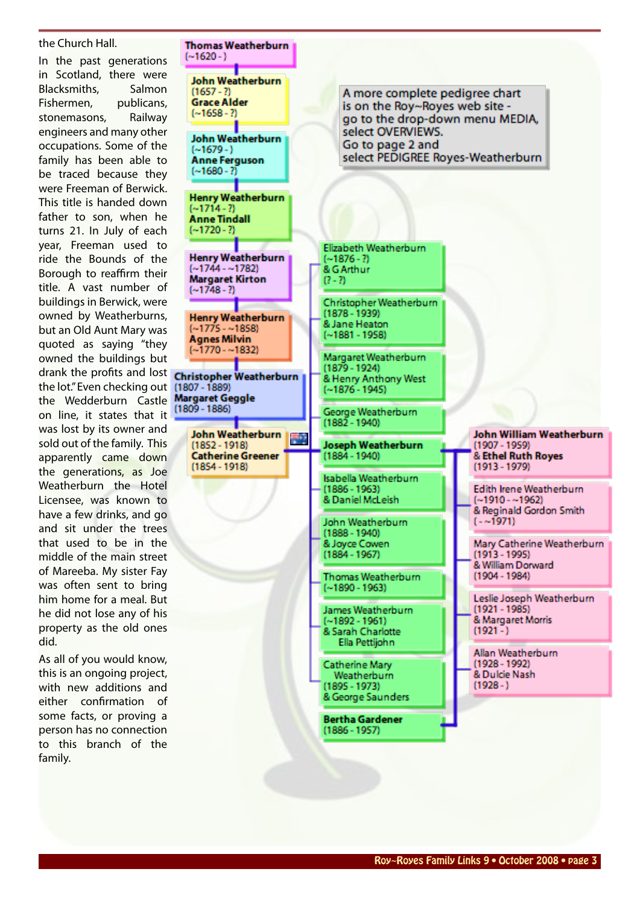the Church Hall. In the past generations in Scotland, there were Blacksmiths, Salmon Fishermen, publicans, stonemasons, Railway engineers and many other occupations. Some of the family has been able to be traced because they were Freeman of Berwick. This title is handed down father to son, when he turns 21. In July of each year, Freeman used to ride the Bounds of the Borough to reaffirm their title. A vast number of buildings in Berwick, were owned by Weatherburns, but an Old Aunt Mary was quoted as saying "they owned the buildings but drank the profits and lost **Christopher Weatherburn** the lot." Even checking out (1807 - 1889) the Wedderburn Castle Margaret Geggle on line, it states that it was lost by its owner and sold out of the family. This apparently came down the generations, as Joe Weatherburn the Hotel Licensee, was known to have a few drinks, and go and sit under the trees that used to be in the middle of the main street of Mareeba. My sister Fay was often sent to bring him home for a meal. But he did not lose any of his property as the old ones did.

As all of you would know, this is an ongoing project, with new additions and either confirmation of some facts, or proving a person has no connection to this branch of the family.